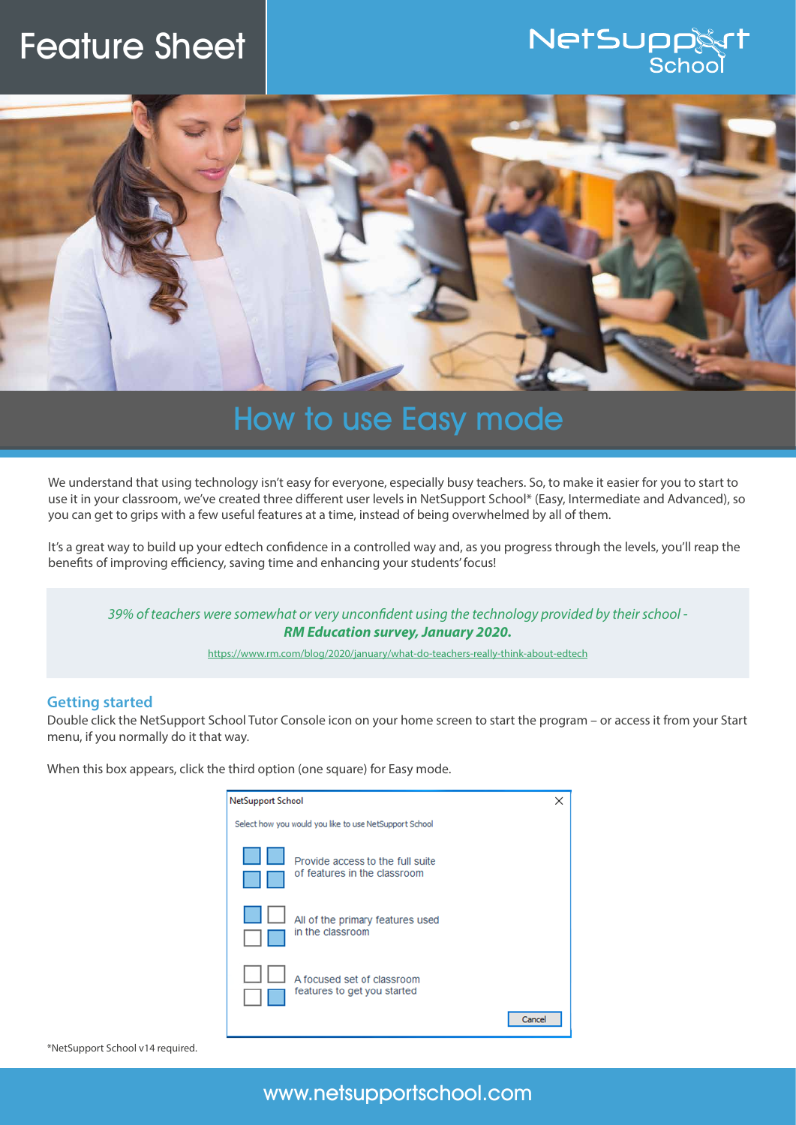## Feature Sheet

# NetSupp



## How to use Easy mode

We understand that using technology isn't easy for everyone, especially busy teachers. So, to make it easier for you to start to use it in your classroom, we've created three different user levels in NetSupport School\* (Easy, Intermediate and Advanced), so you can get to grips with a few useful features at a time, instead of being overwhelmed by all of them.

It's a great way to build up your edtech confidence in a controlled way and, as you progress through the levels, you'll reap the benefits of improving efficiency, saving time and enhancing your students' focus!

*39% of teachers were somewhat or very unconfident using the technology provided by their school - RM Education survey, January 2020.*

https://www.rm.com/blog/2020/january/what-do-teachers-really-think-about-edtech

#### **Getting started**

Double click the NetSupport School Tutor Console icon on your home screen to start the program – or access it from your Start menu, if you normally do it that way.

When this box appears, click the third option (one square) for Easy mode.

| <b>NetSupport School</b>                               |                                                                  |  |
|--------------------------------------------------------|------------------------------------------------------------------|--|
| Select how you would you like to use NetSupport School |                                                                  |  |
|                                                        | Provide access to the full suite<br>of features in the classroom |  |
|                                                        | All of the primary features used<br>in the classroom             |  |
|                                                        | A focused set of classroom<br>features to get you started        |  |
|                                                        | Cance                                                            |  |

\*NetSupport School v14 required.

www.netsupportschool.com